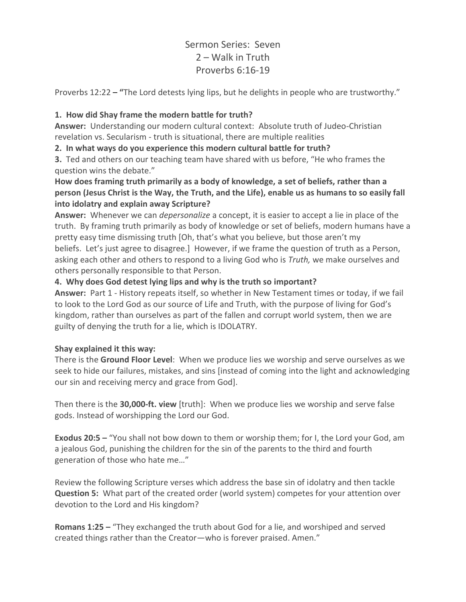# Sermon Series: Seven 2 – Walk in Truth Proverbs 6:16-19

Proverbs 12:22 – **"**The Lord detests lying lips, but he delights in people who are trustworthy."

#### **1. How did Shay frame the modern battle for truth?**

**Answer:** Understanding our modern cultural context: Absolute truth of Judeo-Christian revelation vs. Secularism - truth is situational, there are multiple realities

**2. In what ways do you experience this modern cultural battle for truth?** 

**3.** Ted and others on our teaching team have shared with us before, "He who frames the question wins the debate."

**How does framing truth primarily as a body of knowledge, a set of beliefs, rather than a person (Jesus Christ is the Way, the Truth, and the Life), enable us as humans to so easily fall into idolatry and explain away Scripture?** 

**Answer:** Whenever we can *depersonalize* a concept, it is easier to accept a lie in place of the truth. By framing truth primarily as body of knowledge or set of beliefs, modern humans have a pretty easy time dismissing truth [Oh, that's what you believe, but those aren't my beliefs. Let's just agree to disagree.] However, if we frame the question of truth as a Person, asking each other and others to respond to a living God who is *Truth,* we make ourselves and others personally responsible to that Person.

## **4. Why does God detest lying lips and why is the truth so important?**

**Answer:** Part 1 - History repeats itself, so whether in New Testament times or today, if we fail to look to the Lord God as our source of Life and Truth, with the purpose of living for God's kingdom, rather than ourselves as part of the fallen and corrupt world system, then we are guilty of denying the truth for a lie, which is IDOLATRY.

#### **Shay explained it this way:**

There is the **Ground Floor Level**: When we produce lies we worship and serve ourselves as we seek to hide our failures, mistakes, and sins [instead of coming into the light and acknowledging our sin and receiving mercy and grace from God].

Then there is the **30,000-ft. view** [truth]: When we produce lies we worship and serve false gods. Instead of worshipping the Lord our God.

**Exodus 20:5** – "You shall not bow down to them or worship them; for I, the Lord your God, am a jealous God, punishing the children for the sin of the parents to the third and fourth generation of those who hate me…"

Review the following Scripture verses which address the base sin of idolatry and then tackle **Question 5:** What part of the created order (world system) competes for your attention over devotion to the Lord and His kingdom?

**Romans 1:25** – "They exchanged the truth about God for a lie, and worshiped and served created things rather than the Creator—who is forever praised. Amen."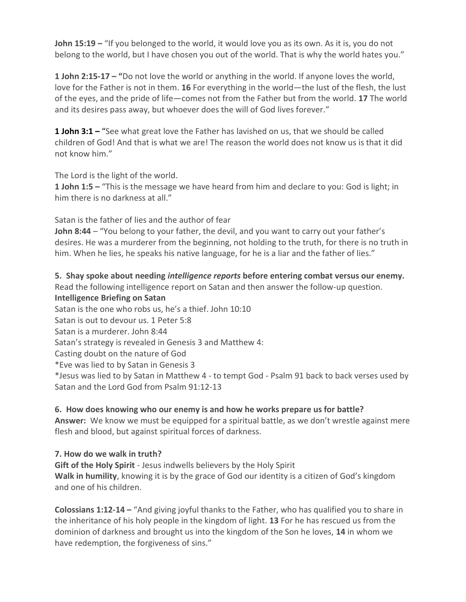**John 15:19 –** "If you belonged to the world, it would love you as its own. As it is, you do not belong to the world, but I have chosen you out of the world. That is why the world hates you."

**1 John 2:15-17 – "**Do not love the world or anything in the world. If anyone loves the world, love for the Father is not in them. **16** For everything in the world—the lust of the flesh, the lust of the eyes, and the pride of life—comes not from the Father but from the world. **17** The world and its desires pass away, but whoever does the will of God lives forever."

**1 John 3:1 –** "See what great love the Father has lavished on us, that we should be called children of God! And that is what we are! The reason the world does not know us is that it did not know him."

The Lord is the light of the world.

**1 John 1:5 –** "This is the message we have heard from him and declare to you: God is light; in him there is no darkness at all."

Satan is the father of lies and the author of fear

**John 8:44** – "You belong to your father, the devil, and you want to carry out your father's desires. He was a murderer from the beginning, not holding to the truth, for there is no truth in him. When he lies, he speaks his native language, for he is a liar and the father of lies."

**5. Shay spoke about needing** *intelligence reports* **before entering combat versus our enemy.** Read the following intelligence report on Satan and then answer the follow-up question.

**Intelligence Briefing on Satan** Satan is the one who robs us, he's a thief. John 10:10 Satan is out to devour us. 1 Peter 5:8 Satan is a murderer. John 8:44 Satan's strategy is revealed in Genesis 3 and Matthew 4: Casting doubt on the nature of God \*Eve was lied to by Satan in Genesis 3 \*Jesus was lied to by Satan in Matthew 4 - to tempt God - Psalm 91 back to back verses used by Satan and the Lord God from Psalm 91:12-13

#### **6. How does knowing who our enemy is and how he works prepare us for battle?**

**Answer:** We know we must be equipped for a spiritual battle, as we don't wrestle against mere flesh and blood, but against spiritual forces of darkness.

#### **7. How do we walk in truth?**

**Gift of the Holy Spirit** - Jesus indwells believers by the Holy Spirit **Walk in humility**, knowing it is by the grace of God our identity is a citizen of God's kingdom and one of his children.

**Colossians 1:12-14 –** "And giving joyful thanks to the Father, who has qualified you to share in the inheritance of his holy people in the kingdom of light. **13** For he has rescued us from the dominion of darkness and brought us into the kingdom of the Son he loves, **14** in whom we have redemption, the forgiveness of sins."